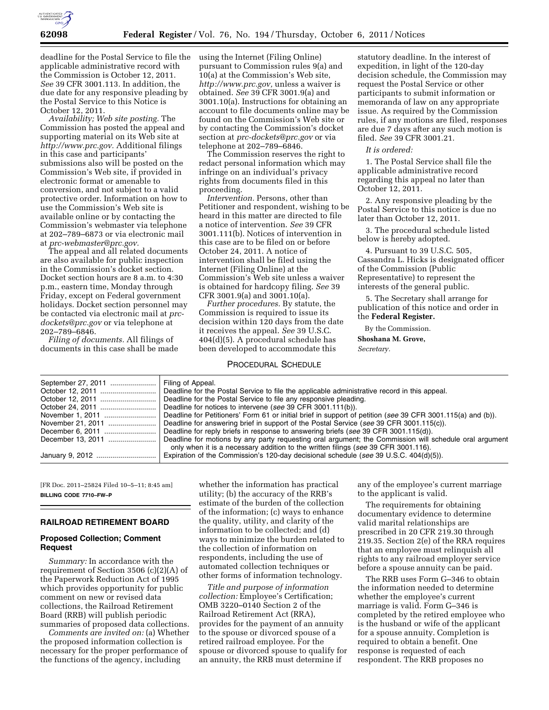

deadline for the Postal Service to file the applicable administrative record with the Commission is October 12, 2011. *See* 39 CFR 3001.113. In addition, the due date for any responsive pleading by the Postal Service to this Notice is October 12, 2011.

*Availability; Web site posting.* The Commission has posted the appeal and supporting material on its Web site at *[http://www.prc.gov.](http://www.prc.gov)* Additional filings in this case and participants' submissions also will be posted on the Commission's Web site, if provided in electronic format or amenable to conversion, and not subject to a valid protective order. Information on how to use the Commission's Web site is available online or by contacting the Commission's webmaster via telephone at 202–789–6873 or via electronic mail at *[prc-webmaster@prc.gov.](mailto:prc-webmaster@prc.gov)* 

The appeal and all related documents are also available for public inspection in the Commission's docket section. Docket section hours are 8 a.m. to 4:30 p.m., eastern time, Monday through Friday, except on Federal government holidays. Docket section personnel may be contacted via electronic mail at *[prc](mailto:prc-dockets@prc.gov)[dockets@prc.gov](mailto:prc-dockets@prc.gov)* or via telephone at 202–789–6846.

*Filing of documents.* All filings of documents in this case shall be made using the Internet (Filing Online) pursuant to Commission rules 9(a) and 10(a) at the Commission's Web site, *[http://www.prc.gov,](http://www.prc.gov)* unless a waiver is obtained. *See* 39 CFR 3001.9(a) and 3001.10(a). Instructions for obtaining an account to file documents online may be found on the Commission's Web site or by contacting the Commission's docket section at *[prc-dockets@prc.gov](mailto:prc-dockets@prc.gov)* or via telephone at 202–789–6846.

The Commission reserves the right to redact personal information which may infringe on an individual's privacy rights from documents filed in this proceeding.

*Intervention.* Persons, other than Petitioner and respondent, wishing to be heard in this matter are directed to file a notice of intervention. *See* 39 CFR 3001.111(b). Notices of intervention in this case are to be filed on or before October 24, 2011. A notice of intervention shall be filed using the Internet (Filing Online) at the Commission's Web site unless a waiver is obtained for hardcopy filing. *See* 39 CFR 3001.9(a) and 3001.10(a).

*Further procedures.* By statute, the Commission is required to issue its decision within 120 days from the date it receives the appeal. *See* 39 U.S.C. 404(d)(5). A procedural schedule has been developed to accommodate this

# PROCEDURAL SCHEDULE

statutory deadline. In the interest of expedition, in light of the 120-day decision schedule, the Commission may request the Postal Service or other participants to submit information or memoranda of law on any appropriate issue. As required by the Commission rules, if any motions are filed, responses are due 7 days after any such motion is filed. *See* 39 CFR 3001.21.

#### *It is ordered:*

1. The Postal Service shall file the applicable administrative record regarding this appeal no later than October 12, 2011.

2. Any responsive pleading by the Postal Service to this notice is due no later than October 12, 2011.

3. The procedural schedule listed below is hereby adopted.

4. Pursuant to 39 U.S.C. 505, Cassandra L. Hicks is designated officer of the Commission (Public Representative) to represent the interests of the general public.

5. The Secretary shall arrange for publication of this notice and order in the **Federal Register.** 

By the Commission.

**Shoshana M. Grove,** 

*Secretary.* 

| Filing of Appeal.                                                                                           |
|-------------------------------------------------------------------------------------------------------------|
|                                                                                                             |
| Deadline for the Postal Service to file any responsive pleading.                                            |
| Deadline for notices to intervene (see 39 CFR 3001.111(b)).                                                 |
| Deadline for Petitioners' Form 61 or initial brief in support of petition (see 39 CFR 3001.115(a) and (b)). |
| Deadline for answering brief in support of the Postal Service (see 39 CFR 3001.115(c)).                     |
| Deadline for reply briefs in response to answering briefs (see 39 CFR 3001.115(d)).                         |
| Deadline for motions by any party requesting oral argument; the Commission will schedule oral argument      |
| only when it is a necessary addition to the written filings (see 39 CFR 3001.116).                          |
| Expiration of the Commission's 120-day decisional schedule (see 39 U.S.C. 404(d)(5)).                       |
|                                                                                                             |

[FR Doc. 2011–25824 Filed 10–5–11; 8:45 am] **BILLING CODE 7710–FW–P** 

## **RAILROAD RETIREMENT BOARD**

## **Proposed Collection; Comment Request**

*Summary:* In accordance with the requirement of Section 3506 (c)(2)(A) of the Paperwork Reduction Act of 1995 which provides opportunity for public comment on new or revised data collections, the Railroad Retirement Board (RRB) will publish periodic summaries of proposed data collections.

*Comments are invited on:* (a) Whether the proposed information collection is necessary for the proper performance of the functions of the agency, including

whether the information has practical utility; (b) the accuracy of the RRB's estimate of the burden of the collection of the information; (c) ways to enhance the quality, utility, and clarity of the information to be collected; and (d) ways to minimize the burden related to the collection of information on respondents, including the use of automated collection techniques or other forms of information technology.

*Title and purpose of information collection:* Employee's Certification; OMB 3220–0140 Section 2 of the Railroad Retirement Act (RRA), provides for the payment of an annuity to the spouse or divorced spouse of a retired railroad employee. For the spouse or divorced spouse to qualify for an annuity, the RRB must determine if

any of the employee's current marriage to the applicant is valid.

The requirements for obtaining documentary evidence to determine valid marital relationships are prescribed in 20 CFR 219.30 through 219.35. Section 2(e) of the RRA requires that an employee must relinquish all rights to any railroad employer service before a spouse annuity can be paid.

The RRB uses Form G–346 to obtain the information needed to determine whether the employee's current marriage is valid. Form G–346 is completed by the retired employee who is the husband or wife of the applicant for a spouse annuity. Completion is required to obtain a benefit. One response is requested of each respondent. The RRB proposes no